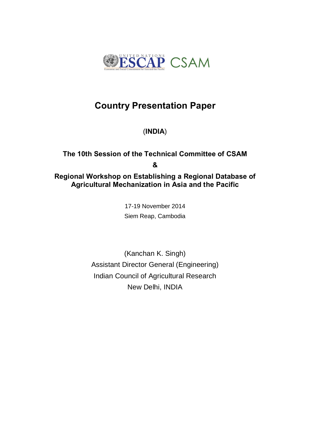

# **Country Presentation Paper**

(**INDIA**)

# **The 10th Session of the Technical Committee of CSAM & Regional Workshop on Establishing a Regional Database of Agricultural Mechanization in Asia and the Pacific**

17-19 November 2014 Siem Reap, Cambodia

(Kanchan K. Singh) Assistant Director General (Engineering) Indian Council of Agricultural Research New Delhi, INDIA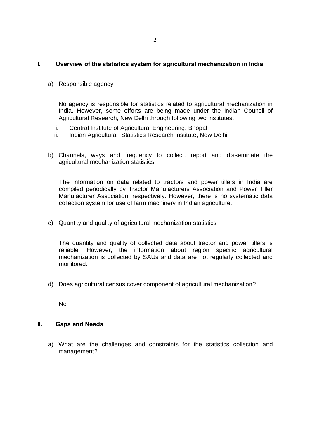## **I. Overview of the statistics system for agricultural mechanization in India**

a) Responsible agency

No agency is responsible for statistics related to agricultural mechanization in India. However, some efforts are being made under the Indian Council of Agricultural Research, New Delhi through following two institutes.

- i. Central Institute of Agricultural Engineering, Bhopal
- ii. Indian Agricultural Statistics Research Institute, New Delhi
- b) Channels, ways and frequency to collect, report and disseminate the agricultural mechanization statistics

The information on data related to tractors and power tillers in India are compiled periodically by Tractor Manufacturers Association and Power Tiller Manufacturer Association, respectively. However, there is no systematic data collection system for use of farm machinery in Indian agriculture.

c) Quantity and quality of agricultural mechanization statistics

The quantity and quality of collected data about tractor and power tillers is reliable. However, the information about region specific agricultural mechanization is collected by SAUs and data are not regularly collected and monitored.

d) Does agricultural census cover component of agricultural mechanization?

No

### **II. Gaps and Needs**

a) What are the challenges and constraints for the statistics collection and management?